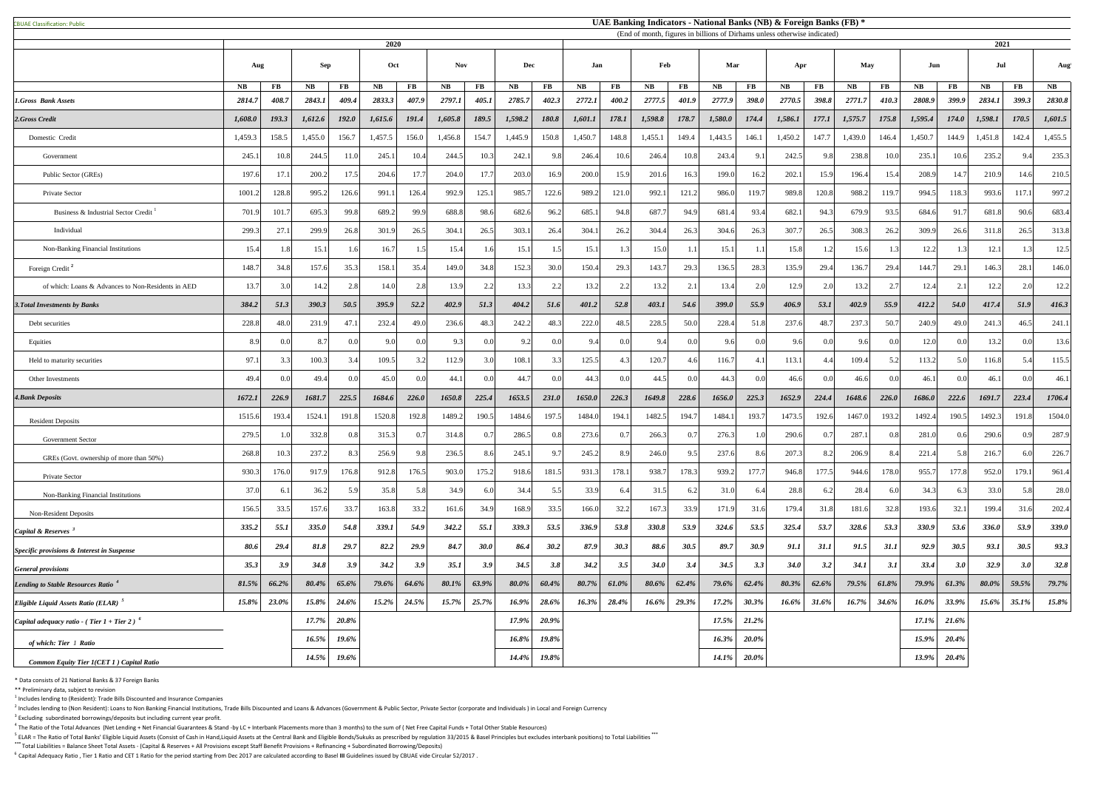CBUAE Classification: Public#

 $<sup>1</sup>$  Includes lending to (Resident): Trade Bills Discounted and Insurance Companies</sup>

 $^2$  Includes lending to (Non Resident): Loans to Non Banking Financial Institutions, Trade Bills Discounted and Loans & Advances (Government & Public Sector, Private Sector (corporate and Individuals) in Local and Foreig  $3$  Excluding subordinated borrowings/deposits but including current year profit.

 $^4$  The Ratio of the Total Advances (Net Lending + Net Financial Guarantees & Stand -by LC + Interbank Placements more than 3 months) to the sum of (Net Free Capital Funds + Total Other Stable Resources)

<sup>5</sup> ELAR = The Ratio of Total Banks' Eligible Liquid Assets (Consist of Cash in Hand,Liquid Assets at the Central Bank and Eligible Bonds/Sukuks as prescribed by regulation 33/2015 & Basel Principles but excludes interbank **\*\*\*** Total Liabilities = Balance Sheet Total Assets - (Capital & Reserves + All Provisions except Staff Benefit Provisions + Refinancing + Subordinated Borrowing/Deposits)

<sup>6</sup> Capital Adequacy Ratio, Tier 1 Ratio and CET 1 Ratio for the period starting from Dec 2017 are calculated according to Basel III Guidelines issued by CBUAE vide Circular 52/2017.

|                                                           | 2020          |          |            |          |         |                   |           |             |          | (End of month, figures in billions of Dirhams unless otherwise indicated) |         |                |             |          |              |                |             |                | 2021    |                |          |                        |         |                        |          |
|-----------------------------------------------------------|---------------|----------|------------|----------|---------|-------------------|-----------|-------------|----------|---------------------------------------------------------------------------|---------|----------------|-------------|----------|--------------|----------------|-------------|----------------|---------|----------------|----------|------------------------|---------|------------------------|----------|
|                                                           | Aug           |          | <b>Sep</b> |          |         | <b>Nov</b><br>Oct |           |             | Dec      |                                                                           | .Tan    |                | Feb         |          | Mar          |                | Apr         |                | May     |                | Jun      |                        | Jul     |                        | Aug      |
|                                                           | $N\mathbf{B}$ | $\bf FB$ | NB         | $\bf FB$ | NB      | $\bf FB$          | <b>NB</b> | $\bf FB$    | NB       | $\bf FB$                                                                  | NB      | $\bf FB$       | NB          | $\bf FB$ | <b>NB</b>    | <b>FB</b>      | <b>NB</b>   | $\bf FB$       | NB      | $\bf FB$       | NB       | $\mathbf{F}\mathbf{B}$ | NB      | $\mathbf{F}\mathbf{B}$ | NB       |
| <b>1.Gross Bank Assets</b>                                | 2814.7        | 408.7    | 2843.1     | 409.4    | 2833.3  | 407.9             | 2797.1    | 405.1       | 2785.7   | 402.3                                                                     | 2772.1  | 400.2          | 2777.5      | 401.9    | 2777.9       | <b>398.0</b>   | 2770.5      | 398.8          | 2771.7  | 410.3          | 2808.9   | 399.9                  | 2834.1  | 399.3                  | 2830.8   |
| 2.Gross Credit                                            | 1,608.0       | 193.3    | 1,612.6    | 192.0    | 1,615.6 | 191.4             | 1,605.8   | 189.5       | 1,598.2  | 180.8                                                                     | 1,601.1 | 178.1          | 1,598.8     | 178.7    | 1,580.0      | 174.4          | 1,586.1     | 177.1          | 1,575.7 | 175.8          | 1,595.4  | 174.0                  | 1,598.1 | 170.5                  | 1,601.5  |
| Domestic Credit                                           | 1,459.3       | 158.5    | 1,455.0    | 156.7    | 1,457.5 | 156.0             | 1,456.8   | 154.7       | 1,445.9  | 150.8                                                                     | 1,450.7 | 148.8          | 1,455.1     | 149.4    | 1,443.5      | 146.1          | 1,450.2     | 147.7          | 1,439.0 | 146.4          | 1,450.7  | 144.9                  | 1,451.8 | 142.4                  | 1,455.5  |
| Government                                                | 245.1         | 10.8     | 244.5      | 11.0     | 245.1   | 10.4              | 244.5     | 10.3        | 242.1    | 9.8                                                                       | 246.4   | 10.6           | 246.4       | 10.8     | 243.4        | 9.1            | 242.5       | 9.8            | 238.8   | 10.0           | 235.1    | 10.6                   | 235.2   | 9.4                    | 235.3    |
| Public Sector (GREs)                                      | 197.6         | 17.1     | 200.2      | 17.5     | 204.6   | 17.7              | 204.0     | 17.7        | 203.0    | 16.9                                                                      | 200.0   | 15.9           | 201.6       | 16.3     | 199.0        | 16.2           | 202.1       | 15.9           | 196.4   | 15.4           | 208.9    | 14.7                   | 210.9   | 14.6                   | 210.5    |
| Private Sector                                            | 1001.2        | 128.8    | 995.2      | 126.6    | 991.1   | 126.4             | 992.9     | 125.1       | 985.     | 122.6                                                                     | 989.2   | 121.0          | 992.1       | 121.2    | 986.0        | 119.7          | 989.8       | 120.8          | 988.2   | 119.7          | 994.5    | 118.3                  | 993.6   | 117.1                  | 997.2    |
| Business & Industrial Sector Credit                       | 701.9         | 101.7    | 695.3      | 99.8     | 689.2   | 99.9              | 688.8     | 98.6        | 682.6    | 96.2                                                                      | 685.1   | 94.8           | 687.7       | 94.9     | 681.4        | 93.4           | 682.1       | 94.3           | 679.9   | 93.5           | 684.6    | 91.7                   | 681.8   | 90.6                   | 683.4    |
| Individual                                                | 299.3         | 27.1     | 299.9      | 26.8     | 301.9   | 26.5              | 304.      | 26.5        | 303.1    | 26.4                                                                      | 304.1   | 26.2           | 304.4       | 26.3     | 304.6        | 26.3           | 307.        | 26.5           | 308.    | 26.2           | 309.9    | 26.6                   | 311.8   | 26.5                   | 313.8    |
| Non-Banking Financial Institutions                        | 15.4          | 1 RI     | 15.1       |          | 16.7    |                   | 15.4      | 1.6         | 15.1     |                                                                           | 15.1    |                | 15.0        |          | 15.1         |                | 15.8        | 1.2            | 15.6    |                | 12.2     |                        | 12.1    |                        | 12.5     |
| Foreign Credit <sup>2</sup>                               | 148.7         | 34.8     | 157.6      | 35.3     | 158.1   | 35.4              | 149.0     | 34.8        | 152.3    | 30.0                                                                      | 150.4   | 29.3           | 143.7       | 29.3     | 136.5        | 28.3           | 135.9       | 29.4           | 136.7   | 29.4           | 144.7    | 29.1                   | 146.3   | 28.1                   | 146.0    |
| of which: Loans & Advances to Non-Residents in AED        | 13.7          | 3.0      | 14.2       | 2.8      | 14.0    | 2.8               | 13.9      | 2.2         | 13.3     | 2.2                                                                       | 13.2    | 2.2            | 13.2        | 2.1      | 13.4         | 2.0            | 12.9        | 2.0            | 13.2    |                | 12.4     | 2.1                    | 12.2    | 2.0                    | 12.2     |
| <b>3. Total Investments by Banks</b>                      | 384.2         | 51.3     | 390.3      | 50.5     | 395.9   | 52.2              | 402.9     | 51.3        | 404.2    | 51.6                                                                      | 401.2   | 52.8           | 403.1       | 54.6     | <b>399.0</b> | 55.9           | 406.9       | 53.1           | 402.9   | 55.9           | 412.2    | 54.0                   | 417.4   | 51.9                   | 416.3    |
| Debt securities                                           | 228.8         | 48.0     | 231.9      | 47.1     | 232.4   | 49.0              | 236.6     | 48.3        | 242.2    | 48.3                                                                      | 222.0   | 48.5           | 228.5       | 50.0     | 228.4        | 51.8           | 237.6       | 48.7           | 237.    | 50.7           | 240.9    | 49.0                   | 241.3   | 46.5                   | 241.1    |
| Equities                                                  | 8.9           | 0.0      | 8.7        |          | 9.0     | 0.0 <sub>l</sub>  | 9.3       | 0.0         | 9.2      | 0.0                                                                       | 9.4     | 0.0            | 9.4         | $\Omega$ | 9.6          | 0.0            | 9.6         | 0.0            | 9.6     |                | 12.0     | 0.0                    | 13.2    | 0.0                    | 13.6     |
| Held to maturity securities                               | 97.1          | 3.3      | 100.3      | 3.4      | 109.5   | 3.2               | 112.9     | 3.0         | 108.1    | 3.3                                                                       | 125.5   | 43             | 120.7       |          | 116.7        | 4.1            | 113.1       | 4.4            | 109.4   | 5.2            | 113.2    | 5.0                    | 116.8   | 5.4                    | 115.5    |
| Other Investments                                         | 49.4          |          | 49.4       |          | 45.0    | 0.0               | 44.       | 0.0         | 44.7     | 0.0                                                                       | 44.3    |                | 44.5        |          | 44.3         | 0.0            | 46.6        | 0.0            | 46.6    |                | 46.1     | 0.0                    | 46.1    | 0.0                    | 46.      |
| <b>4. Bank Deposits</b>                                   | 1672.1        | 226.9    | 1681.7     | 225.5    | 1684.6  | <b>226.0</b>      | 1650.8    | 225.4       | 1653.5   | <b>231.0</b>                                                              | 1650.0  | 226.3          | 1649.8      | 228.6    | 1656.0       | 225.3          | 1652.9      | 224.4          | 1648.6  | 226.0          | 1686.0   | 222.6                  | 1691.7  | 223.4                  | 1706.4   |
| <b>Resident Deposits</b>                                  | 1515.6        | 193.4    | 1524.1     | 191.     | 1520.8  | 192.8             | 1489.2    | 190.5       | 1484.    | 197.5                                                                     | 1484.   | 194.1          | 1482.5      | 194.     | 1484.        | 193.7          | 1473.5      | 192.6          | 1467.0  | 193.           | 1492.4   | 190.5                  | 1492.3  | 191.8                  | 1504.0   |
| <b>Government Sector</b>                                  | 279.5         |          | 332.8      | 0.8      | 315.3   | 0.7               | 314.8     | 0.7         | 286.5    | 0.8                                                                       | 273.6   | 07             | 266.3       |          | 276.3        | 1 $\Gamma$     | 290.6       | 0.7            | 287.    |                | 281.0    | 0.6                    | 290.6   | 0.9                    | 287.9    |
| GREs (Govt. ownership of more than 50%)                   | 268.8         | 10.3     | 237.2      | 8.3      | 256.9   | 9.8               | 236.5     | 8.6         | 245.     | 9.7                                                                       | 245.2   | 8.9            | 246.0       | 95       | 237.6        | 8.6            | 207.        | 8.2            | 206.9   |                | 221.4    | 5.8                    | 216.7   | 6.0                    | 226.7    |
| Private Sector                                            | 930.3         | 176.0    | 917.9      | 176.8    | 912.8   | 176.5             | 903.0     | 175.2       | 918.6    | 181.5                                                                     | 931.3   | 178.1          | 938.7       | 178.3    | 939.2        | 177.           | 946.8       | 177.5          | 944.6   | 178.0          | 955.     | 177.8                  | 952.0   | 179.1                  | 961.4    |
| Non-Banking Financial Institutions                        | 37.0          | 6.1      | 36.2       | 5.9      | 35.8    | 5.8               | 34.9      | 6.0         | 34.4     | 5.5                                                                       | 33.9    | 6.4            | 31.5        | 6.2      | 31.0         | 6.4            | 28.8        | 6.2            | 28.4    |                | 34.3     | 6.3                    | 33.0    | 5.8                    | 28.0     |
| Non-Resident Deposits                                     | 156.5         | 33.5     | 157.6      | 33.7     | 163.8   | 33.2              | 161.6     | 34.9        | 168.9    | 33.5                                                                      | 166.0   | 32.2           | 167.3       | 33.9     | 171.9        | 31.6           | 179.4       | 31.8           | 181.6   | 32.8           | 193.6    | 32.1                   | 199.4   | 31.6                   | 202.4    |
| Capital & Reserves $3$                                    | 335.2         | 55.1     | 335.0      | 54.8     | 339.1   | 54.9              | 342.2     | 55.1        | 339.3    | 53.5                                                                      | 336.9   | 53.8           | 330.8       | 53.9     | 324.6        | 53.5           | 325.4       | 53.7           | 328.6   | 53.3           | 330.9    | 53.6                   | 336.0   | 53.9                   | 339.0    |
| Specific provisions & Interest in Suspense                | 80.6          | 29.4     | 81.8       | 29.7     | 82.2    | 29.9              | 84.7      | 30.0        | 86.4     | 30.2                                                                      | 87.9    | 30.3           | 88.6        | 30.5     | 89.7         | 30.9           | 91.1        | 31.1           | 91.5    | 31.1           | 92.9     | 30.5                   | 93.1    | 30.5                   | 93.3     |
| <b>General provisions</b>                                 | 35.3          | 3.9      | 34.8       | 3.9      | 34.2    | 3.9               | 35.1      | 3.9         | 34.5     | 3.8                                                                       | 34.2    | 3.5            | <b>34.0</b> | 3.4      | 34.5         | 3.3            | <b>34.0</b> | 3.2            | 34.1    | 3.1            | 33.4     | 3.0                    | 32.9    | 3.0                    | 32.8     |
| Lending to Stable Resources Ratio <sup>4</sup>            | 81.5%         | 66.2%    | 80.4%      | 65.6%    | 79.6%   | 64.6%             | 80.1%     | 63.9%       | $80.0\%$ | 60.4%                                                                     | 80.7%   | 61.0%          | 80.6%       | 62.4%    | 79.6%        | 62.4%          | 80.3%       | 62.6%          | 79.5%   | 61.8%          | 79.9%    | 61.3%                  | 80.0%   | 59.5%                  | 79.7%    |
| Eligible Liquid Assets Ratio (ELAR) <sup>5</sup>          | 15.8%         | 23.0%    | $15.8\%$   | $24.6\%$ |         | $15.2\%$ 24.5%    |           | 15.7% 25.7% | $16.9\%$ | $28.6\%$                                                                  |         | $16.3\%$ 28.4% | $16.6\%$    | $29.3\%$ |              | $17.2\%$ 30.3% |             | $16.6\%$ 31.6% |         | $16.7\%$ 34.6% |          | $16.0\%$ 33.9%         |         | $15.6\%$ 35.1%         | $15.8\%$ |
| Capital adequacy ratio - (Tier $1 +$ Tier 2) <sup>6</sup> |               |          | 17.7%      | 20.8%    |         |                   |           |             | 17.9%    | 20.9%                                                                     |         |                |             |          | 17.5%        | $21.2\%$       |             |                |         |                | 17.1%    | 21.6%                  |         |                        |          |
| of which: Tier 1 Ratio                                    |               |          | 16.5%      | 19.6%    |         |                   |           |             | 16.8%    | 19.8%                                                                     |         |                |             |          | $16.3\%$     | 20.0%          |             |                |         |                | $15.9\%$ | 20.4%                  |         |                        |          |
| <b>Common Equity Tier 1(CET 1) Capital Ratio</b>          |               |          | 14.5%      | 19.6%    |         |                   |           |             | $14.4\%$ | 19.8%                                                                     |         |                |             |          | $14.1\%$     | $20.0\%$       |             |                |         |                | $13.9\%$ | $20.4\%$               |         |                        |          |

\* Data consists of 21 National Banks & 37 Foreign Banks

\*\* Preliminary data, subject to revision

## **UAE Banking Indicators - National Banks (NB) & Foreign Banks (FB) \***

(End of month, figures in billions of Dirhams unless otherwise indicated)